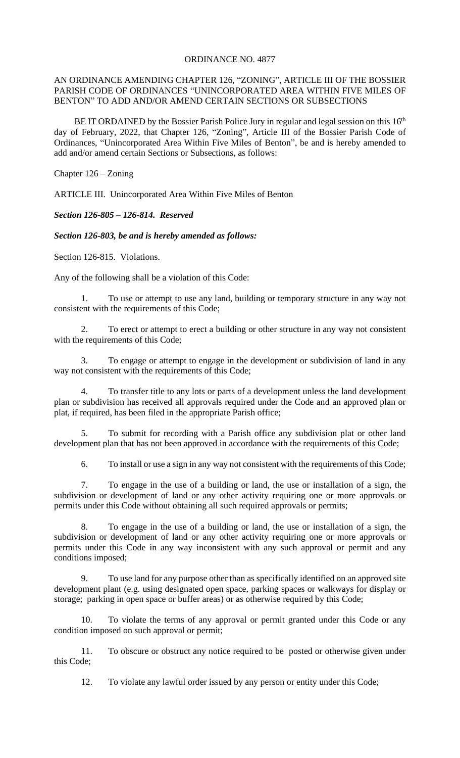## ORDINANCE NO. 4877

## AN ORDINANCE AMENDING CHAPTER 126, "ZONING", ARTICLE III OF THE BOSSIER PARISH CODE OF ORDINANCES "UNINCORPORATED AREA WITHIN FIVE MILES OF BENTON" TO ADD AND/OR AMEND CERTAIN SECTIONS OR SUBSECTIONS

BE IT ORDAINED by the Bossier Parish Police Jury in regular and legal session on this  $16<sup>th</sup>$ day of February, 2022, that Chapter 126, "Zoning", Article III of the Bossier Parish Code of Ordinances, "Unincorporated Area Within Five Miles of Benton", be and is hereby amended to add and/or amend certain Sections or Subsections, as follows:

Chapter 126 – Zoning

ARTICLE III. Unincorporated Area Within Five Miles of Benton

*Section 126-805 – 126-814. Reserved*

*Section 126-803, be and is hereby amended as follows:*

Section 126-815. Violations.

Any of the following shall be a violation of this Code:

1. To use or attempt to use any land, building or temporary structure in any way not consistent with the requirements of this Code;

2. To erect or attempt to erect a building or other structure in any way not consistent with the requirements of this Code;

3. To engage or attempt to engage in the development or subdivision of land in any way not consistent with the requirements of this Code;

4. To transfer title to any lots or parts of a development unless the land development plan or subdivision has received all approvals required under the Code and an approved plan or plat, if required, has been filed in the appropriate Parish office;

5. To submit for recording with a Parish office any subdivision plat or other land development plan that has not been approved in accordance with the requirements of this Code;

6. To install or use a sign in any way not consistent with the requirements of this Code;

7. To engage in the use of a building or land, the use or installation of a sign, the subdivision or development of land or any other activity requiring one or more approvals or permits under this Code without obtaining all such required approvals or permits;

8. To engage in the use of a building or land, the use or installation of a sign, the subdivision or development of land or any other activity requiring one or more approvals or permits under this Code in any way inconsistent with any such approval or permit and any conditions imposed;

9. To use land for any purpose other than as specifically identified on an approved site development plant (e.g. using designated open space, parking spaces or walkways for display or storage; parking in open space or buffer areas) or as otherwise required by this Code;

10. To violate the terms of any approval or permit granted under this Code or any condition imposed on such approval or permit;

11. To obscure or obstruct any notice required to be posted or otherwise given under this Code;

12. To violate any lawful order issued by any person or entity under this Code;